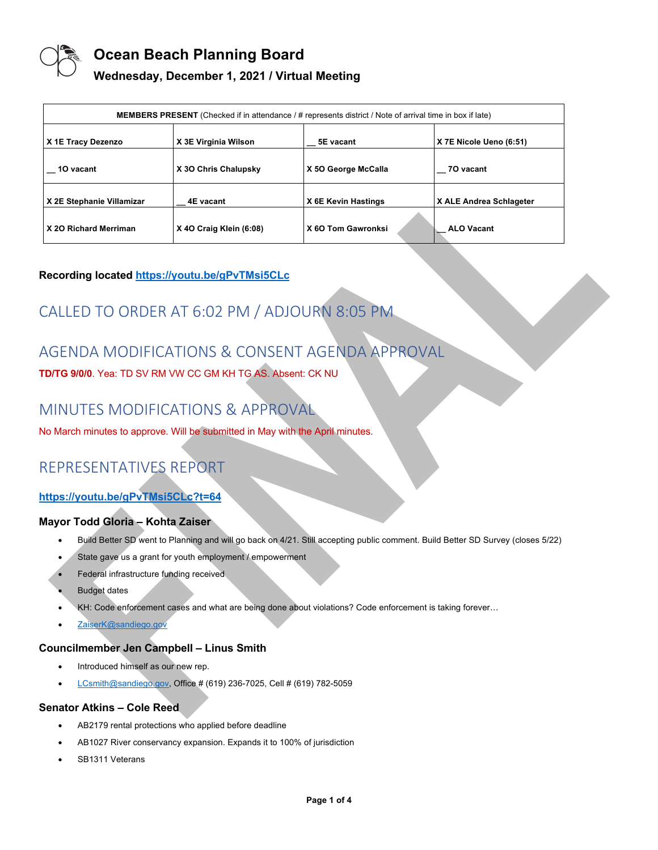

### **Wednesday, December 1, 2021 / Virtual Meeting**

| <b>MEMBERS PRESENT</b> (Checked if in attendance / # represents district / Note of arrival time in box if late) |                         |                     |                         |
|-----------------------------------------------------------------------------------------------------------------|-------------------------|---------------------|-------------------------|
| X 1E Tracy Dezenzo                                                                                              | X 3E Virginia Wilson    | 5E vacant           | X 7E Nicole Ueno (6:51) |
| 10 vacant                                                                                                       | X 30 Chris Chalupsky    | X 50 George McCalla | 70 vacant               |
| X 2E Stephanie Villamizar                                                                                       | 4E vacant               | X 6E Kevin Hastings | X ALE Andrea Schlageter |
| X 20 Richard Merriman                                                                                           | X 40 Craig Klein (6:08) | X 60 Tom Gawronksi  | <b>ALO Vacant</b>       |

#### **Recording located https://youtu.be/gPvTMsi5CLc**

# CALLED TO ORDER AT 6:02 PM / ADJOURN 8:05 PM

# AGENDA MODIFICATIONS & CONSENT AGENDA APPROVAL

**TD/TG 9/0/0**. Yea: TD SV RM VW CC GM KH TG AS. Absent: CK NU

## MINUTES MODIFICATIONS & APPROVAL

No March minutes to approve. Will be submitted in May with the April minutes.

## REPRESENTATIVES REPORT

#### **https://youtu.be/gPvTMsi5CLc?t=64**

#### **Mayor Todd Gloria – Kohta Zaiser**

- Build Better SD went to Planning and will go back on 4/21. Still accepting public comment. Build Better SD Survey (closes 5/22)
- State gave us a grant for youth employment / empowerment
- Federal infrastructure funding received
- **Budget dates**
- KH: Code enforcement cases and what are being done about violations? Code enforcement is taking forever…
- ZaiserK@sandiego.gov

#### **Councilmember Jen Campbell – Linus Smith**

- Introduced himself as our new rep.
- LCsmith@sandiego.gov, Office # (619) 236-7025, Cell # (619) 782-5059

#### **Senator Atkins – Cole Reed**

- AB2179 rental protections who applied before deadline
- AB1027 River conservancy expansion. Expands it to 100% of jurisdiction
- SB1311 Veterans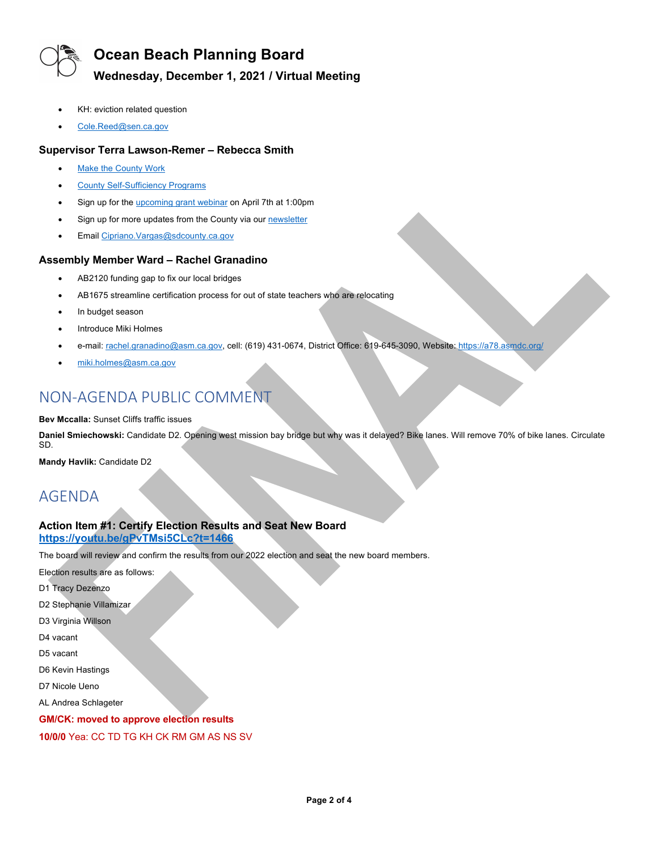

### **Wednesday, December 1, 2021 / Virtual Meeting**

- KH: eviction related question
- Cole.Reed@sen.ca.gov

#### **Supervisor Terra Lawson-Remer – Rebecca Smith**

- Make the County Work
- County Self-Sufficiency Programs
- Sign up for the *upcoming grant webinar* on April 7th at 1:00pm
- Sign up for more updates from the County via our newsletter
- Email Cipriano.Vargas@sdcounty.ca.gov

#### **Assembly Member Ward – Rachel Granadino**

- AB2120 funding gap to fix our local bridges
- AB1675 streamline certification process for out of state teachers who are relocating
- In budget season
- Introduce Miki Holmes
- e-mail: rachel.granadino@asm.ca.gov, cell: (619) 431-0674, District Office: 619-645-3090, Website: https://a78.asmdc.org/
- miki.holmes@asm.ca.gov

## NON-AGENDA PUBLIC COMMENT

#### **Bev Mccalla:** Sunset Cliffs traffic issues

**Daniel Smiechowski:** Candidate D2. Opening west mission bay bridge but why was it delayed? Bike lanes. Will remove 70% of bike lanes. Circulate SD.

**Mandy Havlik:** Candidate D2

## AGENDA

#### **Action Item #1: Certify Election Results and Seat New Board**

#### **https://youtu.be/gPvTMsi5CLc?t=1466**

The board will review and confirm the results from our 2022 election and seat the new board members.

- Election results are as follows:
- D1 Tracy Dezenzo
- D2 Stephanie Villamizar
- D3 Virginia Willson
- D4 vacant
- D5 vacant
- D6 Kevin Hastings
- D7 Nicole Ueno
- AL Andrea Schlageter

#### **GM/CK: moved to approve election results**

**10/0/0** Yea: CC TD TG KH CK RM GM AS NS SV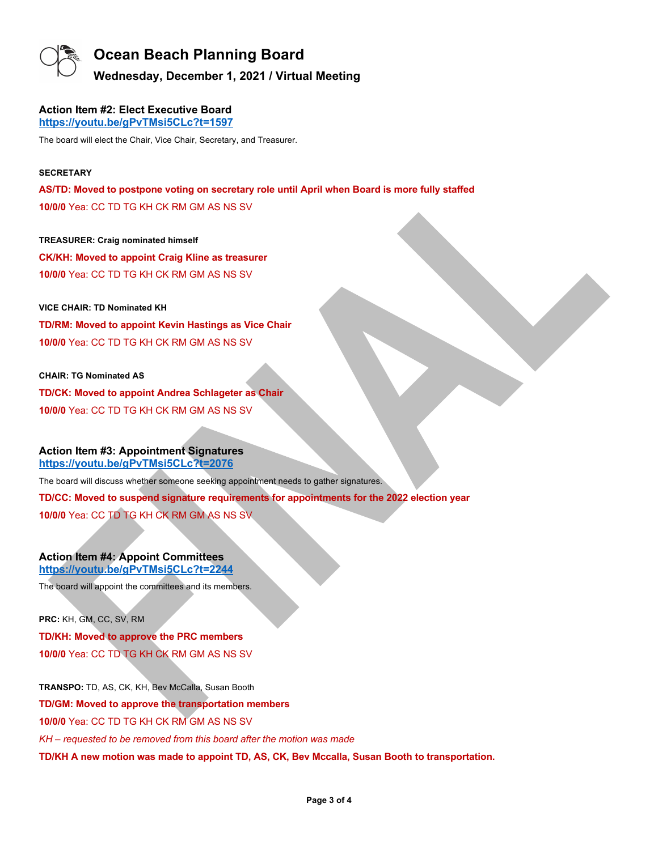

**Wednesday, December 1, 2021 / Virtual Meeting**

#### **Action Item #2: Elect Executive Board https://youtu.be/gPvTMsi5CLc?t=1597**

The board will elect the Chair, Vice Chair, Secretary, and Treasurer.

#### **SECRETARY**

**AS/TD: Moved to postpone voting on secretary role until April when Board is more fully staffed 10/0/0** Yea: CC TD TG KH CK RM GM AS NS SV

**TREASURER: Craig nominated himself CK/KH: Moved to appoint Craig Kline as treasurer 10/0/0** Yea: CC TD TG KH CK RM GM AS NS SV

**VICE CHAIR: TD Nominated KH TD/RM: Moved to appoint Kevin Hastings as Vice Chair 10/0/0** Yea: CC TD TG KH CK RM GM AS NS SV

**CHAIR: TG Nominated AS TD/CK: Moved to appoint Andrea Schlageter as Chair 10/0/0** Yea: CC TD TG KH CK RM GM AS NS SV

#### **Action Item #3: Appointment Signatures https://youtu.be/gPvTMsi5CLc?t=2076**

The board will discuss whether someone seeking appointment needs to gather signatures.

**TD/CC: Moved to suspend signature requirements for appointments for the 2022 election year** 

**10/0/0** Yea: CC TD TG KH CK RM GM AS NS SV

#### **Action Item #4: Appoint Committees https://youtu.be/gPvTMsi5CLc?t=2244**

The board will appoint the committees and its members.

**PRC:** KH, GM, CC, SV, RM **TD/KH: Moved to approve the PRC members 10/0/0** Yea: CC TD TG KH CK RM GM AS NS SV

**TRANSPO:** TD, AS, CK, KH, Bev McCalla, Susan Booth **TD/GM: Moved to approve the transportation members 10/0/0** Yea: CC TD TG KH CK RM GM AS NS SV *KH – requested to be removed from this board after the motion was made* **TD/KH A new motion was made to appoint TD, AS, CK, Bev Mccalla, Susan Booth to transportation.**